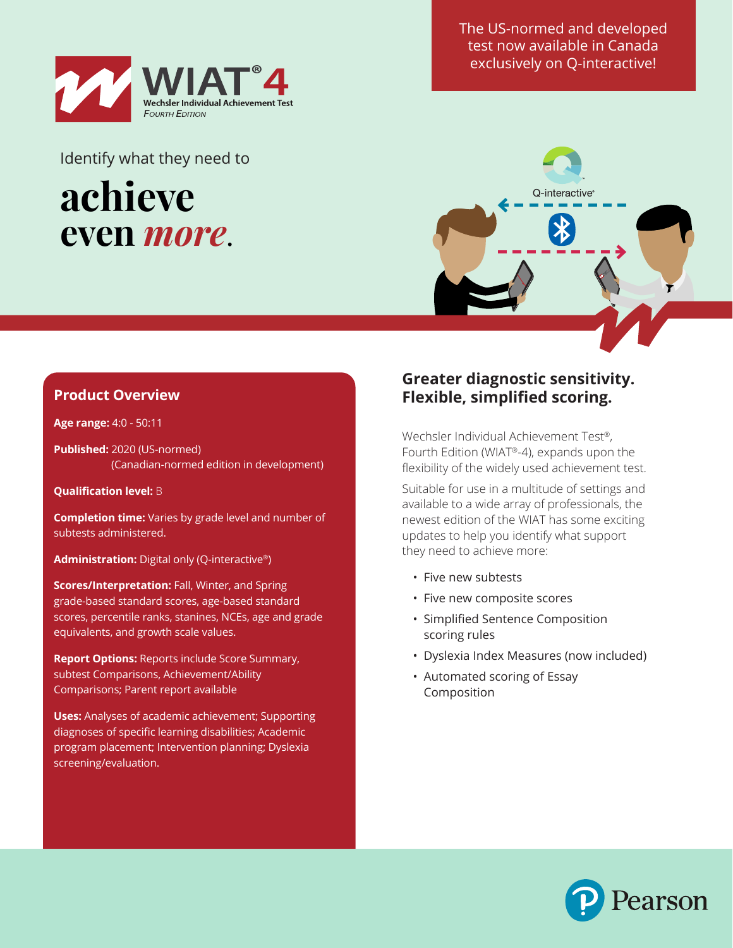

Identify what they need to

# **achieve even** *more*.

The US-normed and developed test now available in Canada exclusively on Q-interactive!



## **Product Overview**

#### **Age range:** 4:0 - 50:11

**Published:** 2020 (US-normed) (Canadian-normed edition in development)

**Qualification level:** B

**Completion time:** Varies by grade level and number of subtests administered.

**Administration:** Digital only (Q-interactive®)

**Scores/Interpretation:** Fall, Winter, and Spring grade-based standard scores, age-based standard scores, percentile ranks, stanines, NCEs, age and grade equivalents, and growth scale values.

**Report Options:** Reports include Score Summary, subtest Comparisons, Achievement/Ability Comparisons; Parent report available

**Uses:** Analyses of academic achievement; Supporting diagnoses of specific learning disabilities; Academic program placement; Intervention planning; Dyslexia screening/evaluation.

## **Greater diagnostic sensitivity. Flexible, simplified scoring.**

Wechsler Individual Achievement Test®, Fourth Edition (WIAT®-4), expands upon the flexibility of the widely used achievement test.

Suitable for use in a multitude of settings and available to a wide array of professionals, the newest edition of the WIAT has some exciting updates to help you identify what support they need to achieve more:

- Five new subtests
- Five new composite scores
- Simplified Sentence Composition scoring rules
- Dyslexia Index Measures (now included)
- Automated scoring of Essay Composition